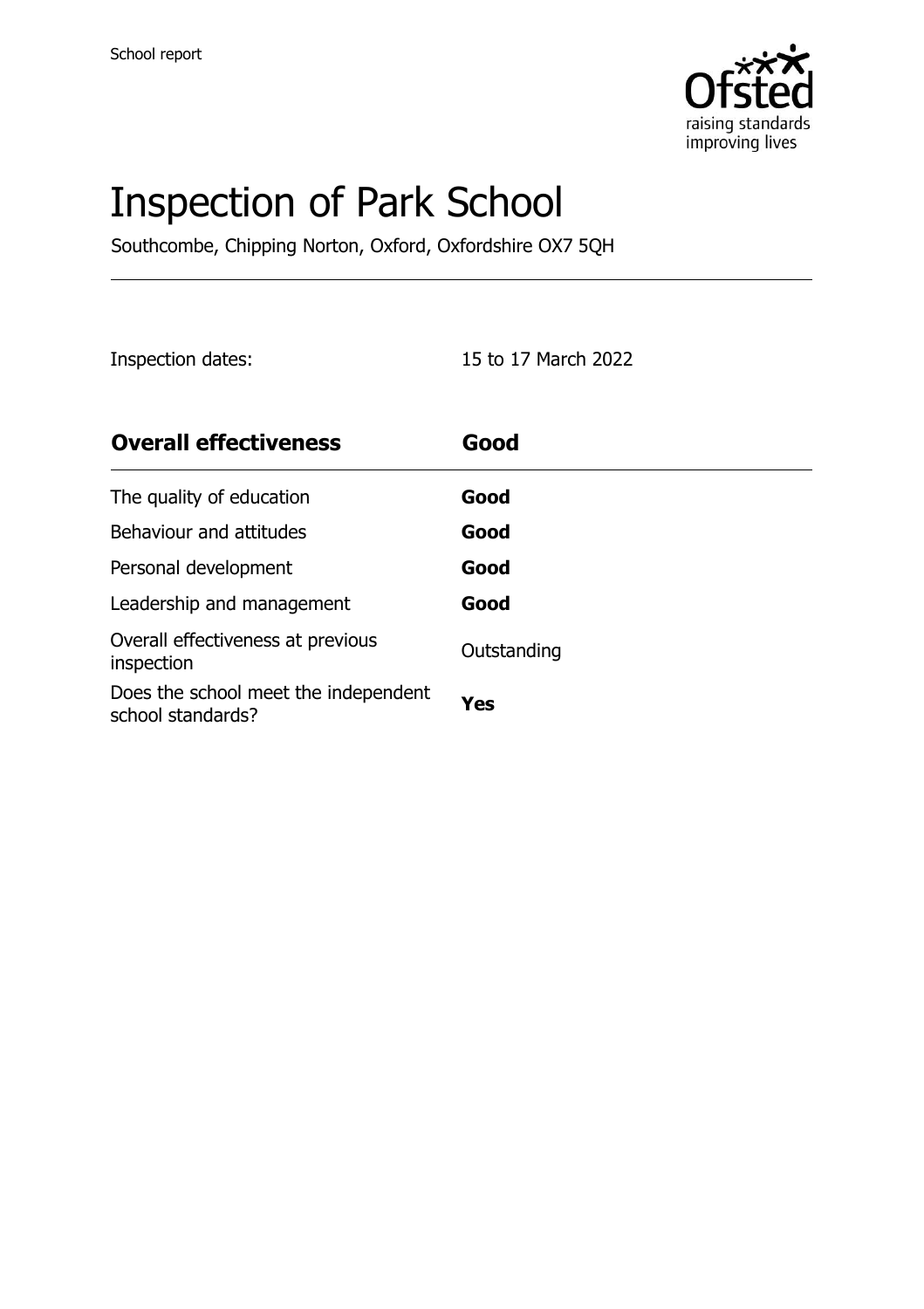

# Inspection of Park School

Southcombe, Chipping Norton, Oxford, Oxfordshire OX7 5QH

Inspection dates: 15 to 17 March 2022

| <b>Overall effectiveness</b>                              | Good        |
|-----------------------------------------------------------|-------------|
| The quality of education                                  | Good        |
| Behaviour and attitudes                                   | Good        |
| Personal development                                      | Good        |
| Leadership and management                                 | Good        |
| Overall effectiveness at previous<br>inspection           | Outstanding |
| Does the school meet the independent<br>school standards? | Yes         |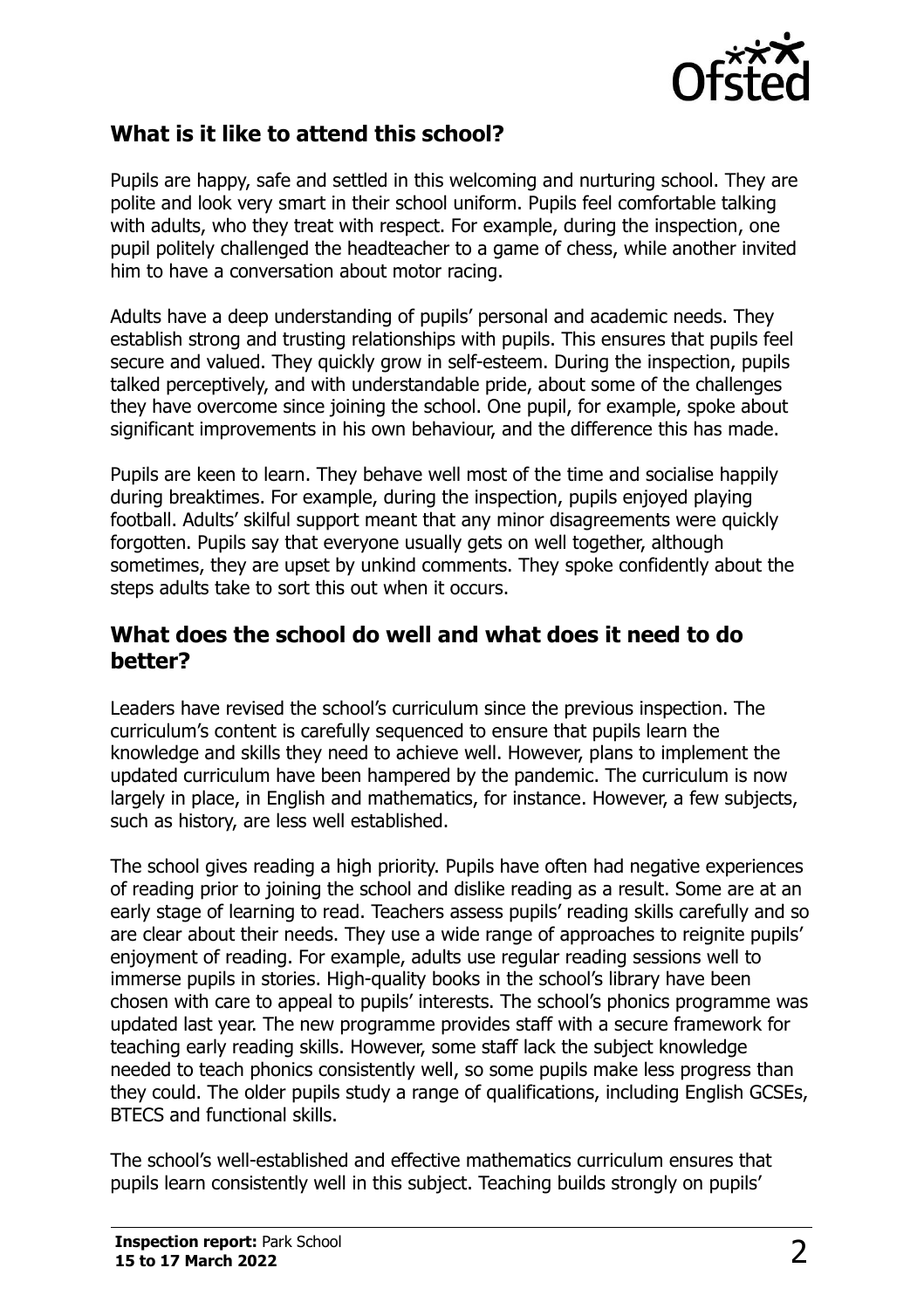

## **What is it like to attend this school?**

Pupils are happy, safe and settled in this welcoming and nurturing school. They are polite and look very smart in their school uniform. Pupils feel comfortable talking with adults, who they treat with respect. For example, during the inspection, one pupil politely challenged the headteacher to a game of chess, while another invited him to have a conversation about motor racing.

Adults have a deep understanding of pupils' personal and academic needs. They establish strong and trusting relationships with pupils. This ensures that pupils feel secure and valued. They quickly grow in self-esteem. During the inspection, pupils talked perceptively, and with understandable pride, about some of the challenges they have overcome since joining the school. One pupil, for example, spoke about significant improvements in his own behaviour, and the difference this has made.

Pupils are keen to learn. They behave well most of the time and socialise happily during breaktimes. For example, during the inspection, pupils enjoyed playing football. Adults' skilful support meant that any minor disagreements were quickly forgotten. Pupils say that everyone usually gets on well together, although sometimes, they are upset by unkind comments. They spoke confidently about the steps adults take to sort this out when it occurs.

### **What does the school do well and what does it need to do better?**

Leaders have revised the school's curriculum since the previous inspection. The curriculum's content is carefully sequenced to ensure that pupils learn the knowledge and skills they need to achieve well. However, plans to implement the updated curriculum have been hampered by the pandemic. The curriculum is now largely in place, in English and mathematics, for instance. However, a few subjects, such as history, are less well established.

The school gives reading a high priority. Pupils have often had negative experiences of reading prior to joining the school and dislike reading as a result. Some are at an early stage of learning to read. Teachers assess pupils' reading skills carefully and so are clear about their needs. They use a wide range of approaches to reignite pupils' enjoyment of reading. For example, adults use regular reading sessions well to immerse pupils in stories. High-quality books in the school's library have been chosen with care to appeal to pupils' interests. The school's phonics programme was updated last year. The new programme provides staff with a secure framework for teaching early reading skills. However, some staff lack the subject knowledge needed to teach phonics consistently well, so some pupils make less progress than they could. The older pupils study a range of qualifications, including English GCSEs, BTECS and functional skills.

The school's well-established and effective mathematics curriculum ensures that pupils learn consistently well in this subject. Teaching builds strongly on pupils'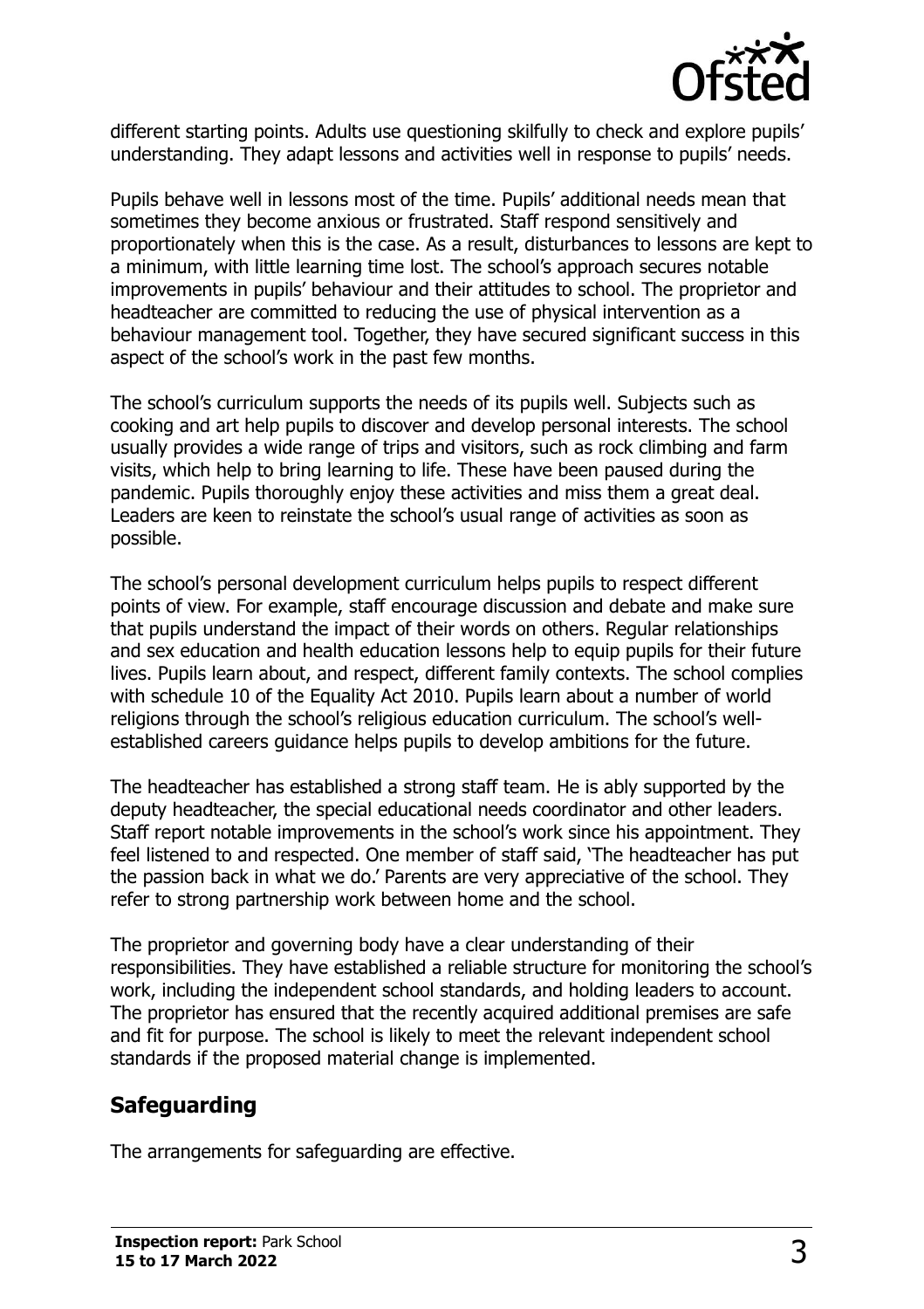

different starting points. Adults use questioning skilfully to check and explore pupils' understanding. They adapt lessons and activities well in response to pupils' needs.

Pupils behave well in lessons most of the time. Pupils' additional needs mean that sometimes they become anxious or frustrated. Staff respond sensitively and proportionately when this is the case. As a result, disturbances to lessons are kept to a minimum, with little learning time lost. The school's approach secures notable improvements in pupils' behaviour and their attitudes to school. The proprietor and headteacher are committed to reducing the use of physical intervention as a behaviour management tool. Together, they have secured significant success in this aspect of the school's work in the past few months.

The school's curriculum supports the needs of its pupils well. Subjects such as cooking and art help pupils to discover and develop personal interests. The school usually provides a wide range of trips and visitors, such as rock climbing and farm visits, which help to bring learning to life. These have been paused during the pandemic. Pupils thoroughly enjoy these activities and miss them a great deal. Leaders are keen to reinstate the school's usual range of activities as soon as possible.

The school's personal development curriculum helps pupils to respect different points of view. For example, staff encourage discussion and debate and make sure that pupils understand the impact of their words on others. Regular relationships and sex education and health education lessons help to equip pupils for their future lives. Pupils learn about, and respect, different family contexts. The school complies with schedule 10 of the Equality Act 2010. Pupils learn about a number of world religions through the school's religious education curriculum. The school's wellestablished careers guidance helps pupils to develop ambitions for the future.

The headteacher has established a strong staff team. He is ably supported by the deputy headteacher, the special educational needs coordinator and other leaders. Staff report notable improvements in the school's work since his appointment. They feel listened to and respected. One member of staff said, 'The headteacher has put the passion back in what we do.' Parents are very appreciative of the school. They refer to strong partnership work between home and the school.

The proprietor and governing body have a clear understanding of their responsibilities. They have established a reliable structure for monitoring the school's work, including the independent school standards, and holding leaders to account. The proprietor has ensured that the recently acquired additional premises are safe and fit for purpose. The school is likely to meet the relevant independent school standards if the proposed material change is implemented.

# **Safeguarding**

The arrangements for safeguarding are effective.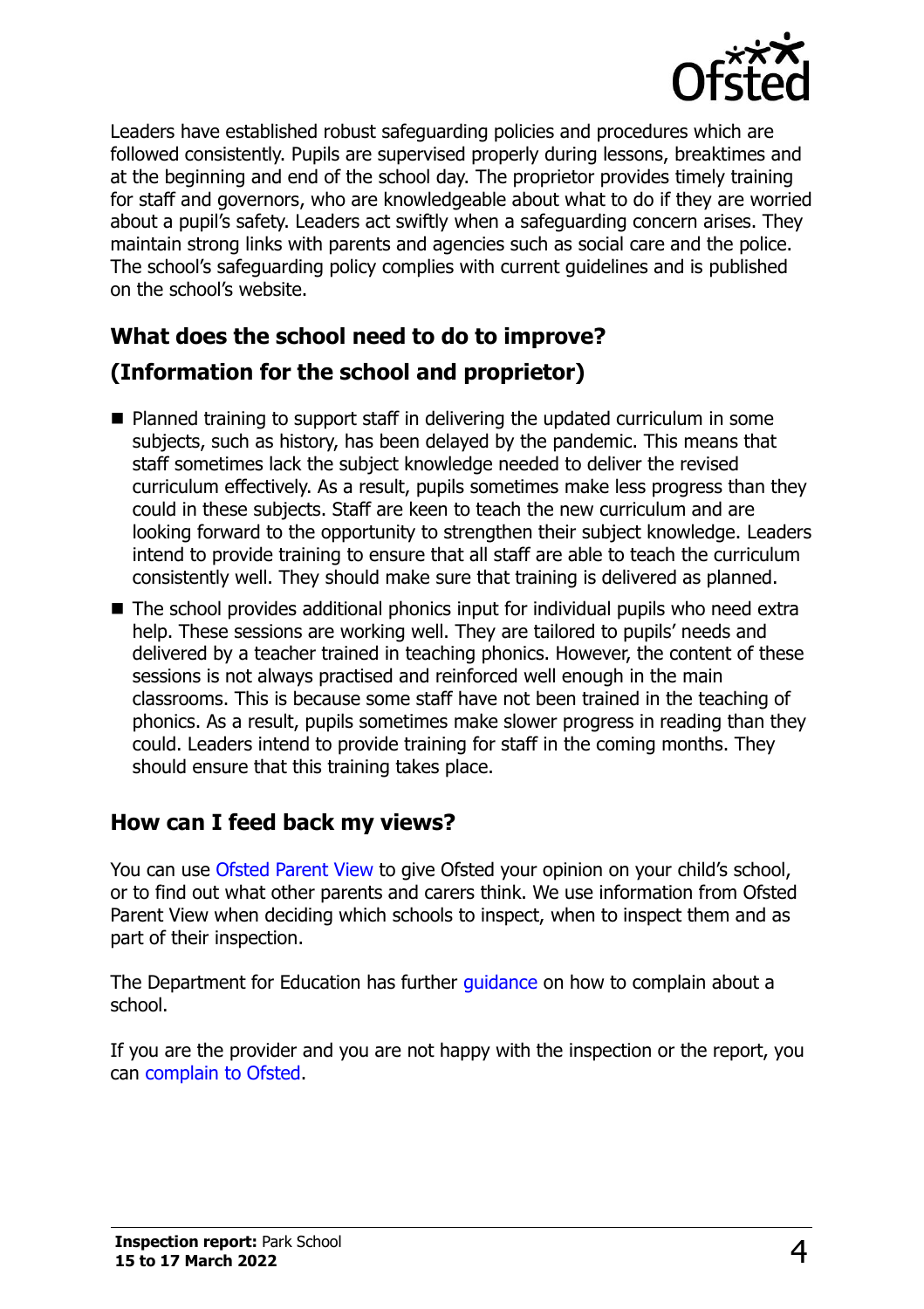

Leaders have established robust safeguarding policies and procedures which are followed consistently. Pupils are supervised properly during lessons, breaktimes and at the beginning and end of the school day. The proprietor provides timely training for staff and governors, who are knowledgeable about what to do if they are worried about a pupil's safety. Leaders act swiftly when a safeguarding concern arises. They maintain strong links with parents and agencies such as social care and the police. The school's safeguarding policy complies with current guidelines and is published on the school's website.

# **What does the school need to do to improve? (Information for the school and proprietor)**

- Planned training to support staff in delivering the updated curriculum in some subjects, such as history, has been delayed by the pandemic. This means that staff sometimes lack the subject knowledge needed to deliver the revised curriculum effectively. As a result, pupils sometimes make less progress than they could in these subjects. Staff are keen to teach the new curriculum and are looking forward to the opportunity to strengthen their subject knowledge. Leaders intend to provide training to ensure that all staff are able to teach the curriculum consistently well. They should make sure that training is delivered as planned.
- The school provides additional phonics input for individual pupils who need extra help. These sessions are working well. They are tailored to pupils' needs and delivered by a teacher trained in teaching phonics. However, the content of these sessions is not always practised and reinforced well enough in the main classrooms. This is because some staff have not been trained in the teaching of phonics. As a result, pupils sometimes make slower progress in reading than they could. Leaders intend to provide training for staff in the coming months. They should ensure that this training takes place.

# **How can I feed back my views?**

You can use [Ofsted Parent View](http://parentview.ofsted.gov.uk/) to give Ofsted your opinion on your child's school, or to find out what other parents and carers think. We use information from Ofsted Parent View when deciding which schools to inspect, when to inspect them and as part of their inspection.

The Department for Education has further quidance on how to complain about a school.

If you are the provider and you are not happy with the inspection or the report, you can [complain to Ofsted.](http://www.gov.uk/complain-ofsted-report)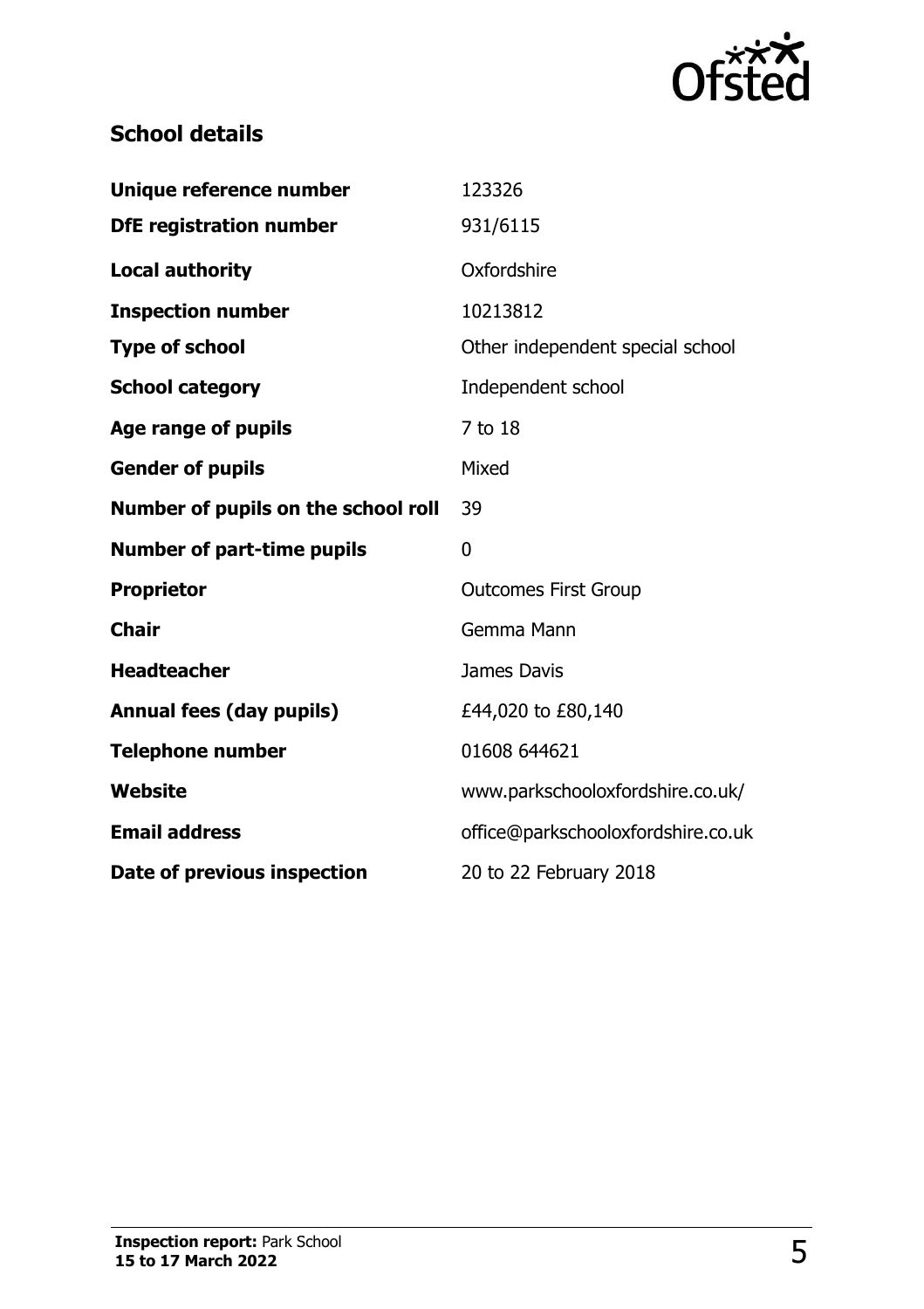

# **School details**

| Unique reference number             | 123326                             |
|-------------------------------------|------------------------------------|
| <b>DfE registration number</b>      | 931/6115                           |
| <b>Local authority</b>              | Oxfordshire                        |
| <b>Inspection number</b>            | 10213812                           |
| <b>Type of school</b>               | Other independent special school   |
| <b>School category</b>              | Independent school                 |
| <b>Age range of pupils</b>          | 7 to 18                            |
| <b>Gender of pupils</b>             | Mixed                              |
| Number of pupils on the school roll | 39                                 |
|                                     |                                    |
| <b>Number of part-time pupils</b>   | 0                                  |
| <b>Proprietor</b>                   | <b>Outcomes First Group</b>        |
| <b>Chair</b>                        | Gemma Mann                         |
| <b>Headteacher</b>                  | James Davis                        |
| <b>Annual fees (day pupils)</b>     | £44,020 to £80,140                 |
| <b>Telephone number</b>             | 01608 644621                       |
| <b>Website</b>                      | www.parkschooloxfordshire.co.uk/   |
| <b>Email address</b>                | office@parkschooloxfordshire.co.uk |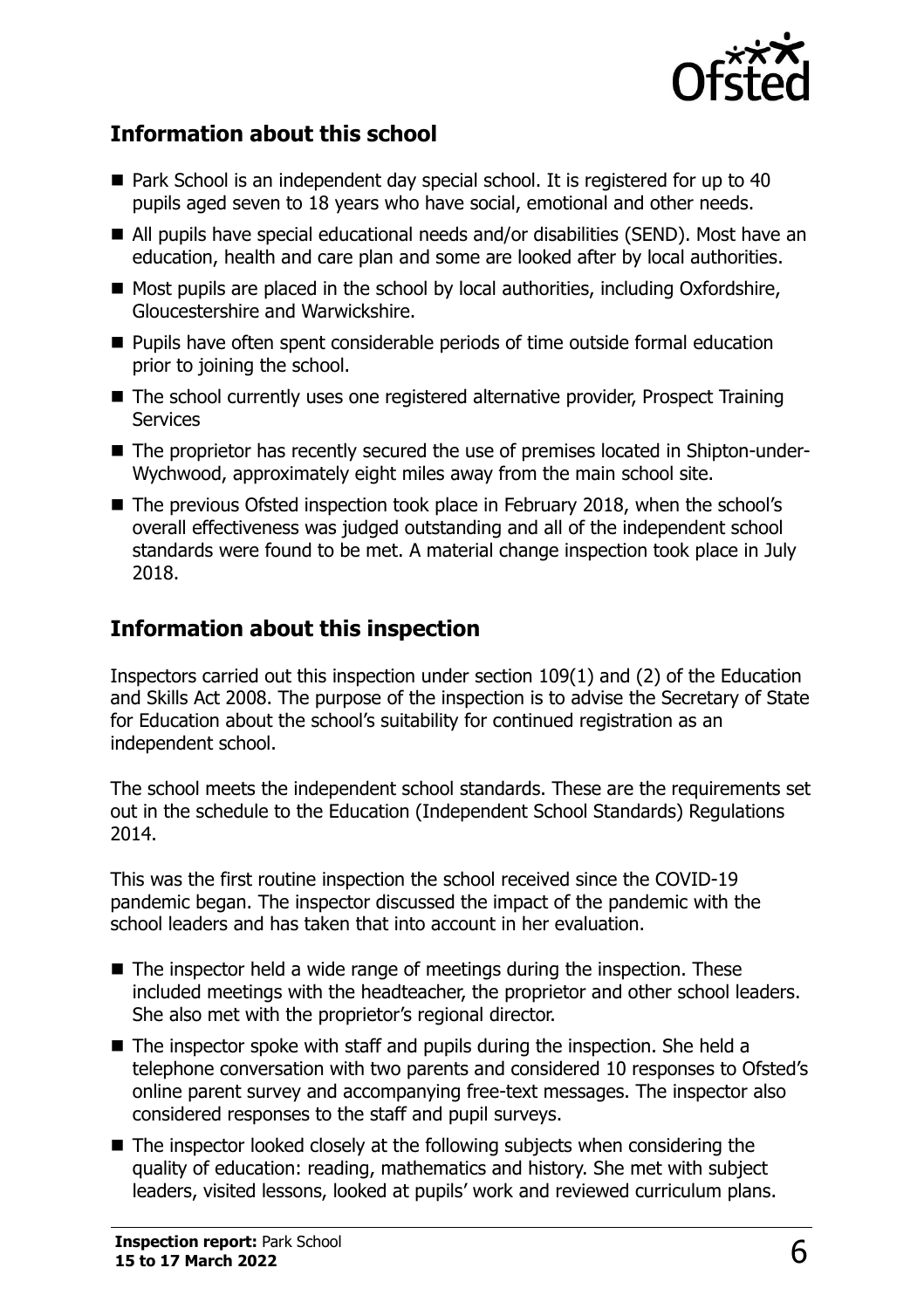

## **Information about this school**

- Park School is an independent day special school. It is registered for up to 40 pupils aged seven to 18 years who have social, emotional and other needs.
- All pupils have special educational needs and/or disabilities (SEND). Most have an education, health and care plan and some are looked after by local authorities.
- Most pupils are placed in the school by local authorities, including Oxfordshire, Gloucestershire and Warwickshire.
- Pupils have often spent considerable periods of time outside formal education prior to joining the school.
- The school currently uses one registered alternative provider, Prospect Training **Services**
- The proprietor has recently secured the use of premises located in Shipton-under-Wychwood, approximately eight miles away from the main school site.
- The previous Ofsted inspection took place in February 2018, when the school's overall effectiveness was judged outstanding and all of the independent school standards were found to be met. A material change inspection took place in July 2018.

# **Information about this inspection**

Inspectors carried out this inspection under section 109(1) and (2) of the Education and Skills Act 2008. The purpose of the inspection is to advise the Secretary of State for Education about the school's suitability for continued registration as an independent school.

The school meets the independent school standards. These are the requirements set out in the schedule to the Education (Independent School Standards) Regulations 2014.

This was the first routine inspection the school received since the COVID-19 pandemic began. The inspector discussed the impact of the pandemic with the school leaders and has taken that into account in her evaluation.

- $\blacksquare$  The inspector held a wide range of meetings during the inspection. These included meetings with the headteacher, the proprietor and other school leaders. She also met with the proprietor's regional director.
- The inspector spoke with staff and pupils during the inspection. She held a telephone conversation with two parents and considered 10 responses to Ofsted's online parent survey and accompanying free-text messages. The inspector also considered responses to the staff and pupil surveys.
- The inspector looked closely at the following subjects when considering the quality of education: reading, mathematics and history. She met with subject leaders, visited lessons, looked at pupils' work and reviewed curriculum plans.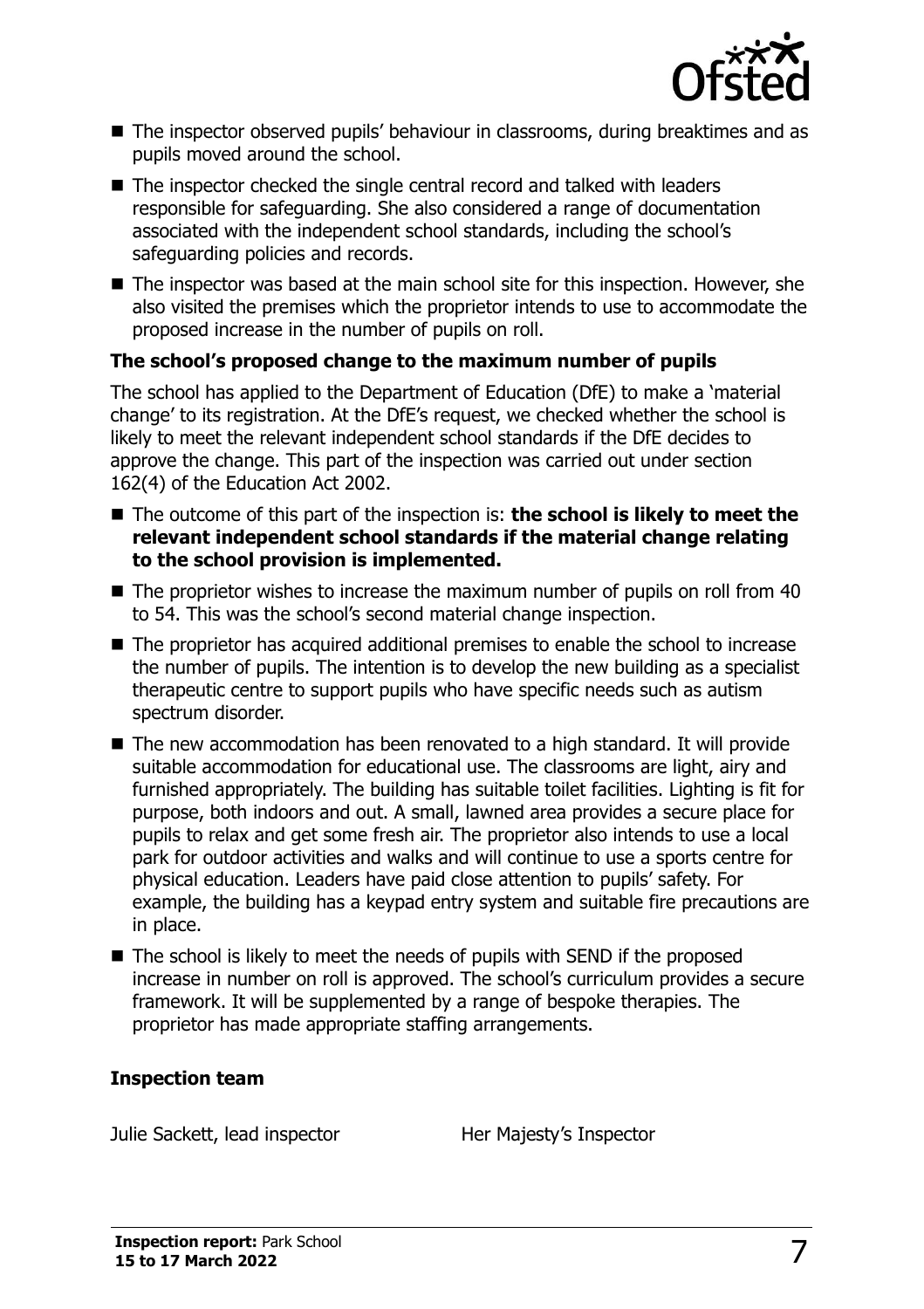

- The inspector observed pupils' behaviour in classrooms, during breaktimes and as pupils moved around the school.
- The inspector checked the single central record and talked with leaders responsible for safeguarding. She also considered a range of documentation associated with the independent school standards, including the school's safeguarding policies and records.
- The inspector was based at the main school site for this inspection. However, she also visited the premises which the proprietor intends to use to accommodate the proposed increase in the number of pupils on roll.

#### **The school's proposed change to the maximum number of pupils**

The school has applied to the Department of Education (DfE) to make a 'material change' to its registration. At the DfE's request, we checked whether the school is likely to meet the relevant independent school standards if the DfE decides to approve the change. This part of the inspection was carried out under section 162(4) of the Education Act 2002.

- The outcome of this part of the inspection is: **the school is likely to meet the relevant independent school standards if the material change relating to the school provision is implemented.**
- The proprietor wishes to increase the maximum number of pupils on roll from 40 to 54. This was the school's second material change inspection.
- The proprietor has acquired additional premises to enable the school to increase the number of pupils. The intention is to develop the new building as a specialist therapeutic centre to support pupils who have specific needs such as autism spectrum disorder.
- The new accommodation has been renovated to a high standard. It will provide suitable accommodation for educational use. The classrooms are light, airy and furnished appropriately. The building has suitable toilet facilities. Lighting is fit for purpose, both indoors and out. A small, lawned area provides a secure place for pupils to relax and get some fresh air. The proprietor also intends to use a local park for outdoor activities and walks and will continue to use a sports centre for physical education. Leaders have paid close attention to pupils' safety. For example, the building has a keypad entry system and suitable fire precautions are in place.
- The school is likely to meet the needs of pupils with SEND if the proposed increase in number on roll is approved. The school's curriculum provides a secure framework. It will be supplemented by a range of bespoke therapies. The proprietor has made appropriate staffing arrangements.

#### **Inspection team**

Julie Sackett, lead inspector **Her Majesty's Inspector**